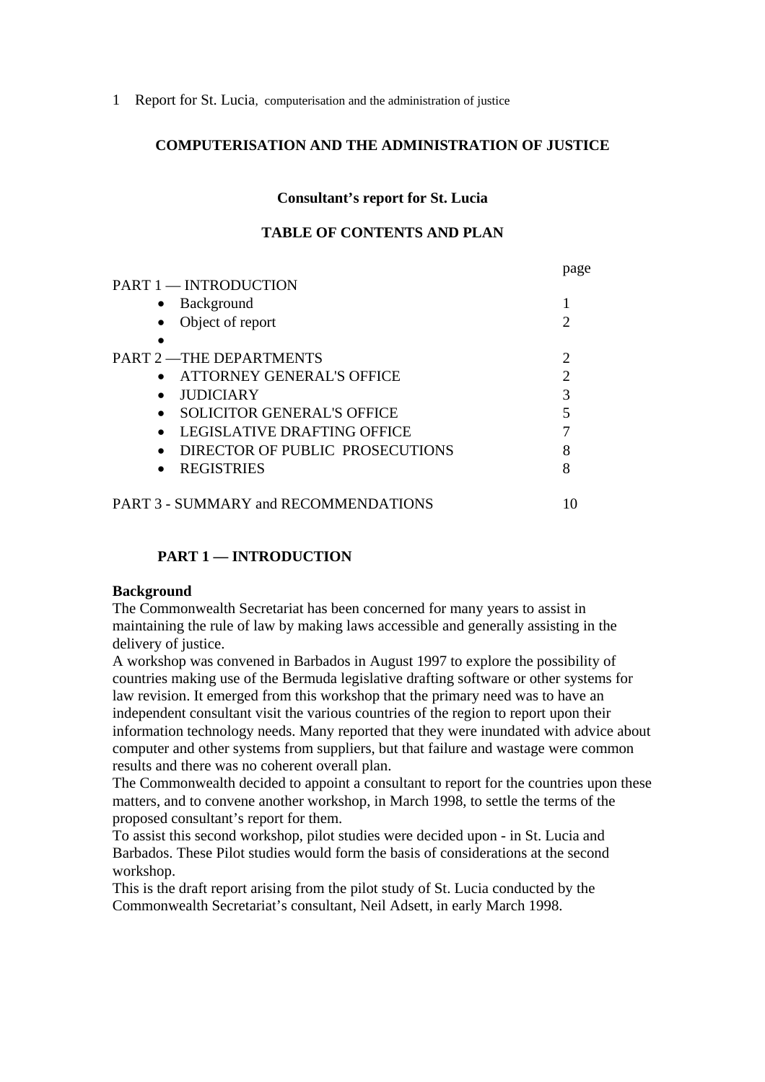#### **COMPUTERISATION AND THE ADMINISTRATION OF JUSTICE**

#### **Consultant's report for St. Lucia**

### **TABLE OF CONTENTS AND PLAN**

|                                                | page                        |
|------------------------------------------------|-----------------------------|
| <b>PART 1 — INTRODUCTION</b>                   |                             |
| Background<br>$\bullet$                        |                             |
| Object of report<br>$\bullet$                  | $\mathcal{D}_{\mathcal{L}}$ |
|                                                |                             |
| <b>PART 2 - THE DEPARTMENTS</b>                | $\mathcal{D}_{\mathcal{L}}$ |
| ATTORNEY GENERAL'S OFFICE<br>$\bullet$         | $\overline{2}$              |
| <b>JUDICIARY</b><br>$\bullet$                  | 3                           |
| <b>SOLICITOR GENERAL'S OFFICE</b><br>$\bullet$ | 5                           |
| LEGISLATIVE DRAFTING OFFICE<br>$\bullet$       |                             |
| DIRECTOR OF PUBLIC PROSECUTIONS<br>$\bullet$   | 8                           |
| <b>REGISTRIES</b><br>$\bullet$                 | 8                           |
| PART 3 - SUMMARY and RECOMMENDATIONS           | IO                          |

### **PART 1 — INTRODUCTION**

#### **Background**

The Commonwealth Secretariat has been concerned for many years to assist in maintaining the rule of law by making laws accessible and generally assisting in the delivery of justice.

A workshop was convened in Barbados in August 1997 to explore the possibility of countries making use of the Bermuda legislative drafting software or other systems for law revision. It emerged from this workshop that the primary need was to have an independent consultant visit the various countries of the region to report upon their information technology needs. Many reported that they were inundated with advice about computer and other systems from suppliers, but that failure and wastage were common results and there was no coherent overall plan.

The Commonwealth decided to appoint a consultant to report for the countries upon these matters, and to convene another workshop, in March 1998, to settle the terms of the proposed consultant's report for them.

To assist this second workshop, pilot studies were decided upon - in St. Lucia and Barbados. These Pilot studies would form the basis of considerations at the second workshop.

This is the draft report arising from the pilot study of St. Lucia conducted by the Commonwealth Secretariat's consultant, Neil Adsett, in early March 1998.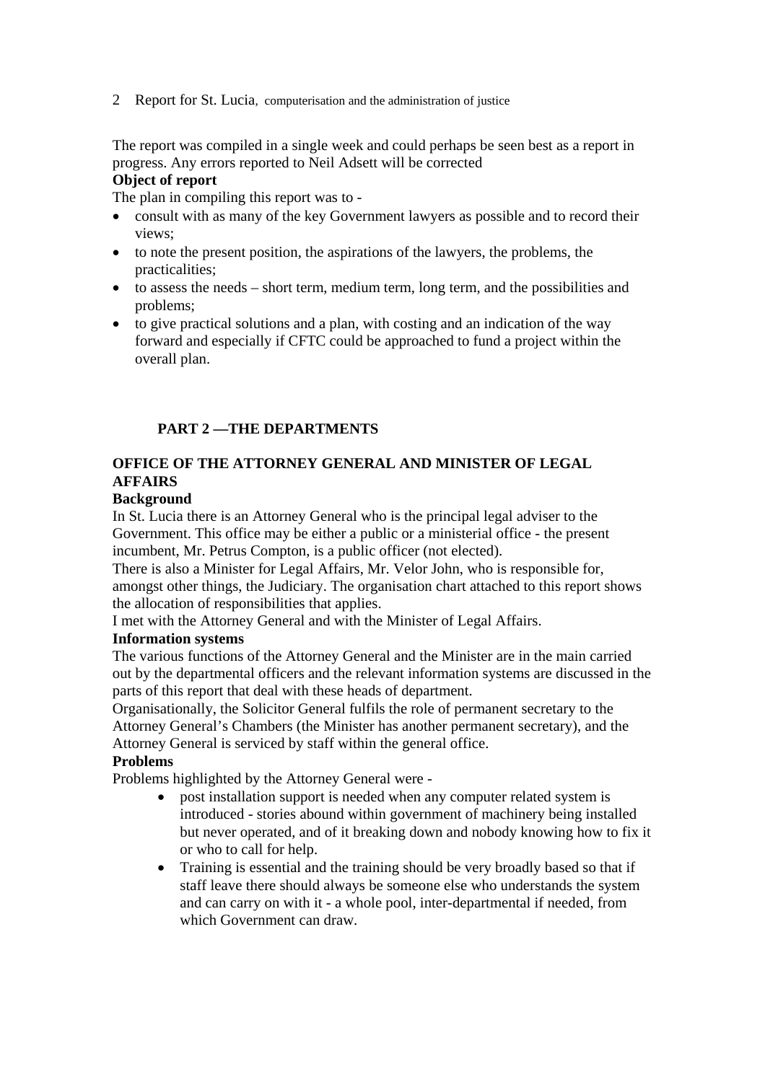The report was compiled in a single week and could perhaps be seen best as a report in progress. Any errors reported to Neil Adsett will be corrected

# **Object of report**

The plan in compiling this report was to -

- consult with as many of the key Government lawyers as possible and to record their views;
- to note the present position, the aspirations of the lawyers, the problems, the practicalities;
- to assess the needs short term, medium term, long term, and the possibilities and problems;
- to give practical solutions and a plan, with costing and an indication of the way forward and especially if CFTC could be approached to fund a project within the overall plan.

## **PART 2 —THE DEPARTMENTS**

## **OFFICE OF THE ATTORNEY GENERAL AND MINISTER OF LEGAL AFFAIRS**

#### **Background**

In St. Lucia there is an Attorney General who is the principal legal adviser to the Government. This office may be either a public or a ministerial office - the present incumbent, Mr. Petrus Compton, is a public officer (not elected).

There is also a Minister for Legal Affairs, Mr. Velor John, who is responsible for, amongst other things, the Judiciary. The organisation chart attached to this report shows the allocation of responsibilities that applies.

I met with the Attorney General and with the Minister of Legal Affairs.

### **Information systems**

The various functions of the Attorney General and the Minister are in the main carried out by the departmental officers and the relevant information systems are discussed in the parts of this report that deal with these heads of department.

Organisationally, the Solicitor General fulfils the role of permanent secretary to the Attorney General's Chambers (the Minister has another permanent secretary), and the Attorney General is serviced by staff within the general office.

### **Problems**

Problems highlighted by the Attorney General were -

- post installation support is needed when any computer related system is introduced - stories abound within government of machinery being installed but never operated, and of it breaking down and nobody knowing how to fix it or who to call for help.
- Training is essential and the training should be very broadly based so that if staff leave there should always be someone else who understands the system and can carry on with it - a whole pool, inter-departmental if needed, from which Government can draw.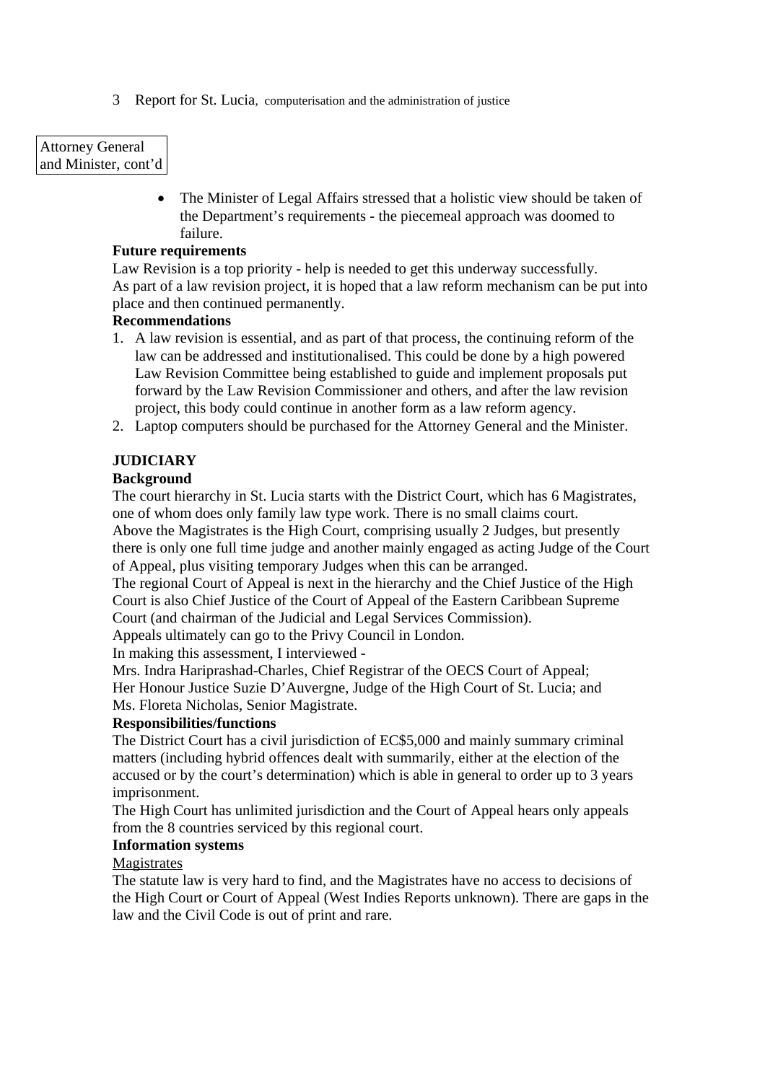### Attorney General and Minister, cont'd

• The Minister of Legal Affairs stressed that a holistic view should be taken of the Department's requirements - the piecemeal approach was doomed to failure.

### **Future requirements**

Law Revision is a top priority - help is needed to get this underway successfully. As part of a law revision project, it is hoped that a law reform mechanism can be put into place and then continued permanently.

### **Recommendations**

- 1. A law revision is essential, and as part of that process, the continuing reform of the law can be addressed and institutionalised. This could be done by a high powered Law Revision Committee being established to guide and implement proposals put forward by the Law Revision Commissioner and others, and after the law revision project, this body could continue in another form as a law reform agency.
- 2. Laptop computers should be purchased for the Attorney General and the Minister.

## **JUDICIARY**

### **Background**

The court hierarchy in St. Lucia starts with the District Court, which has 6 Magistrates, one of whom does only family law type work. There is no small claims court. Above the Magistrates is the High Court, comprising usually 2 Judges, but presently there is only one full time judge and another mainly engaged as acting Judge of the Court of Appeal, plus visiting temporary Judges when this can be arranged.

The regional Court of Appeal is next in the hierarchy and the Chief Justice of the High Court is also Chief Justice of the Court of Appeal of the Eastern Caribbean Supreme Court (and chairman of the Judicial and Legal Services Commission).

Appeals ultimately can go to the Privy Council in London.

In making this assessment, I interviewed -

Mrs. Indra Hariprashad-Charles, Chief Registrar of the OECS Court of Appeal; Her Honour Justice Suzie D'Auvergne, Judge of the High Court of St. Lucia; and Ms. Floreta Nicholas, Senior Magistrate.

### **Responsibilities/functions**

The District Court has a civil jurisdiction of EC\$5,000 and mainly summary criminal matters (including hybrid offences dealt with summarily, either at the election of the accused or by the court's determination) which is able in general to order up to 3 years imprisonment.

The High Court has unlimited jurisdiction and the Court of Appeal hears only appeals from the 8 countries serviced by this regional court.

### **Information systems**

### Magistrates

The statute law is very hard to find, and the Magistrates have no access to decisions of the High Court or Court of Appeal (West Indies Reports unknown). There are gaps in the law and the Civil Code is out of print and rare.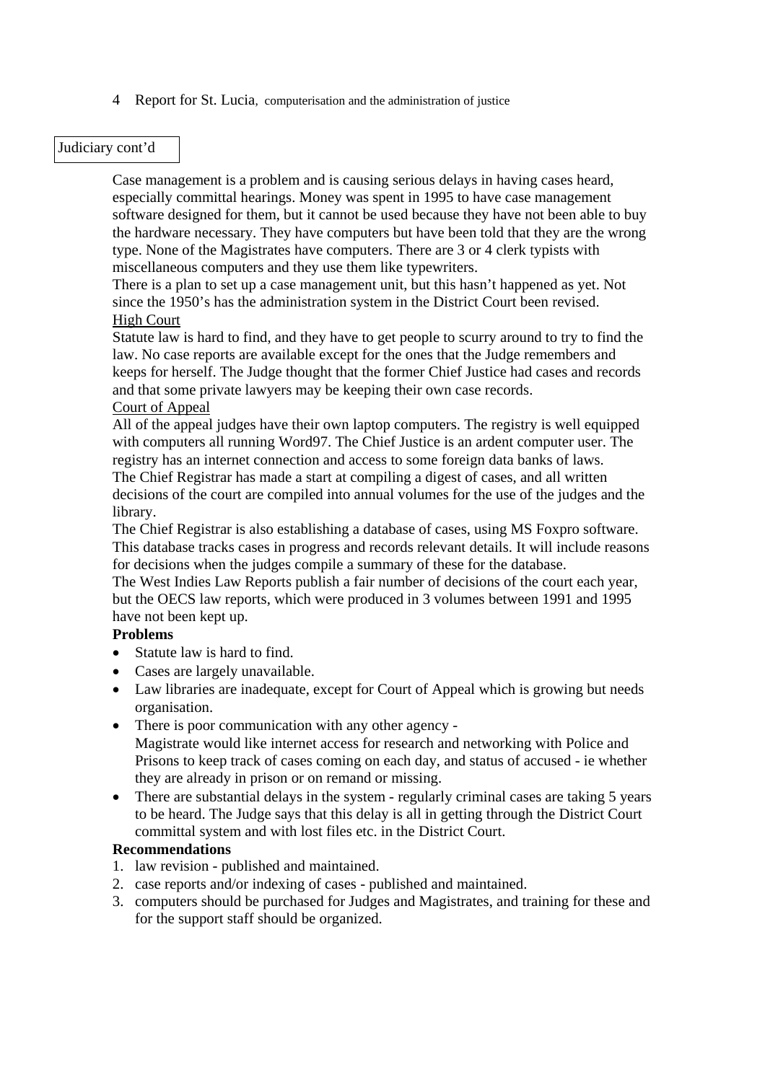#### Judiciary cont'd

Case management is a problem and is causing serious delays in having cases heard, especially committal hearings. Money was spent in 1995 to have case management software designed for them, but it cannot be used because they have not been able to buy the hardware necessary. They have computers but have been told that they are the wrong type. None of the Magistrates have computers. There are 3 or 4 clerk typists with miscellaneous computers and they use them like typewriters.

There is a plan to set up a case management unit, but this hasn't happened as yet. Not since the 1950's has the administration system in the District Court been revised. High Court

Statute law is hard to find, and they have to get people to scurry around to try to find the law. No case reports are available except for the ones that the Judge remembers and keeps for herself. The Judge thought that the former Chief Justice had cases and records and that some private lawyers may be keeping their own case records.

#### Court of Appeal

All of the appeal judges have their own laptop computers. The registry is well equipped with computers all running Word97. The Chief Justice is an ardent computer user. The registry has an internet connection and access to some foreign data banks of laws. The Chief Registrar has made a start at compiling a digest of cases, and all written decisions of the court are compiled into annual volumes for the use of the judges and the library.

The Chief Registrar is also establishing a database of cases, using MS Foxpro software. This database tracks cases in progress and records relevant details. It will include reasons for decisions when the judges compile a summary of these for the database.

The West Indies Law Reports publish a fair number of decisions of the court each year, but the OECS law reports, which were produced in 3 volumes between 1991 and 1995 have not been kept up.

#### **Problems**

- Statute law is hard to find.
- Cases are largely unavailable.
- Law libraries are inadequate, except for Court of Appeal which is growing but needs organisation.
- There is poor communication with any other agency -Magistrate would like internet access for research and networking with Police and Prisons to keep track of cases coming on each day, and status of accused - ie whether they are already in prison or on remand or missing.
- There are substantial delays in the system regularly criminal cases are taking 5 years to be heard. The Judge says that this delay is all in getting through the District Court committal system and with lost files etc. in the District Court.

#### **Recommendations**

- 1. law revision published and maintained.
- 2. case reports and/or indexing of cases published and maintained.
- 3. computers should be purchased for Judges and Magistrates, and training for these and for the support staff should be organized.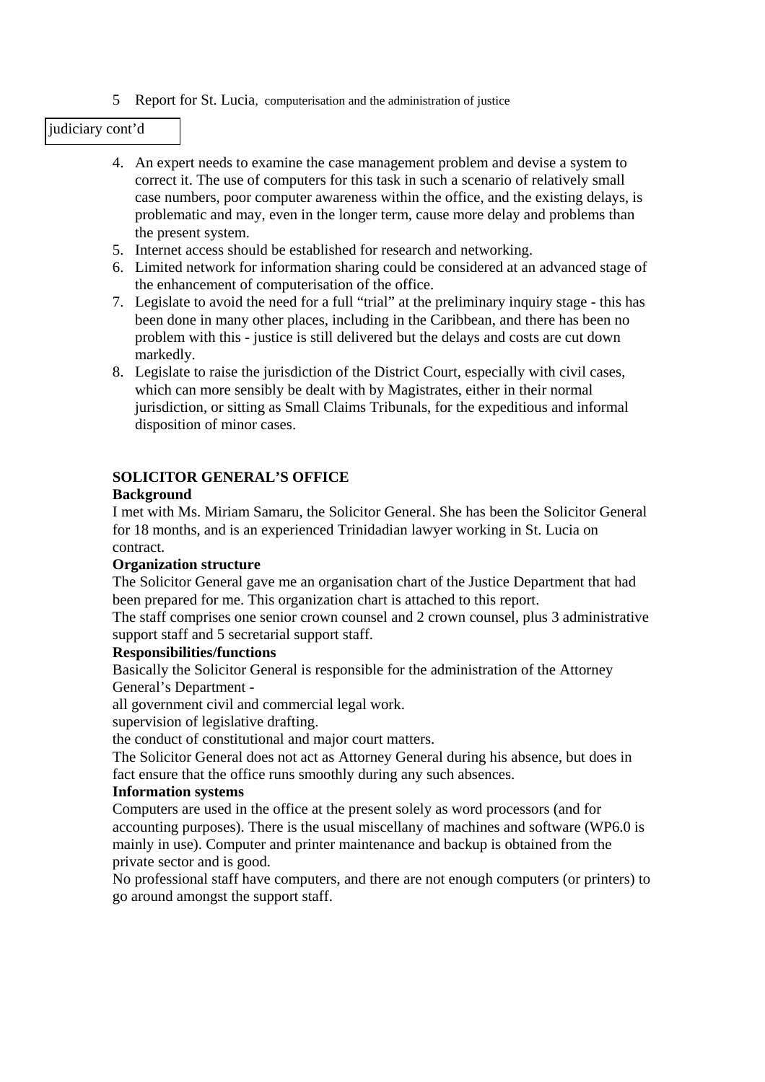#### judiciary cont'd

- 4. An expert needs to examine the case management problem and devise a system to correct it. The use of computers for this task in such a scenario of relatively small case numbers, poor computer awareness within the office, and the existing delays, is problematic and may, even in the longer term, cause more delay and problems than the present system.
- 5. Internet access should be established for research and networking.
- 6. Limited network for information sharing could be considered at an advanced stage of the enhancement of computerisation of the office.
- 7. Legislate to avoid the need for a full "trial" at the preliminary inquiry stage this has been done in many other places, including in the Caribbean, and there has been no problem with this - justice is still delivered but the delays and costs are cut down markedly.
- 8. Legislate to raise the jurisdiction of the District Court, especially with civil cases, which can more sensibly be dealt with by Magistrates, either in their normal jurisdiction, or sitting as Small Claims Tribunals, for the expeditious and informal disposition of minor cases.

### **SOLICITOR GENERAL'S OFFICE**

### **Background**

I met with Ms. Miriam Samaru, the Solicitor General. She has been the Solicitor General for 18 months, and is an experienced Trinidadian lawyer working in St. Lucia on contract.

### **Organization structure**

The Solicitor General gave me an organisation chart of the Justice Department that had been prepared for me. This organization chart is attached to this report.

The staff comprises one senior crown counsel and 2 crown counsel, plus 3 administrative support staff and 5 secretarial support staff.

#### **Responsibilities/functions**

Basically the Solicitor General is responsible for the administration of the Attorney General's Department -

all government civil and commercial legal work.

supervision of legislative drafting.

the conduct of constitutional and major court matters.

The Solicitor General does not act as Attorney General during his absence, but does in fact ensure that the office runs smoothly during any such absences.

#### **Information systems**

Computers are used in the office at the present solely as word processors (and for accounting purposes). There is the usual miscellany of machines and software (WP6.0 is mainly in use). Computer and printer maintenance and backup is obtained from the private sector and is good.

No professional staff have computers, and there are not enough computers (or printers) to go around amongst the support staff.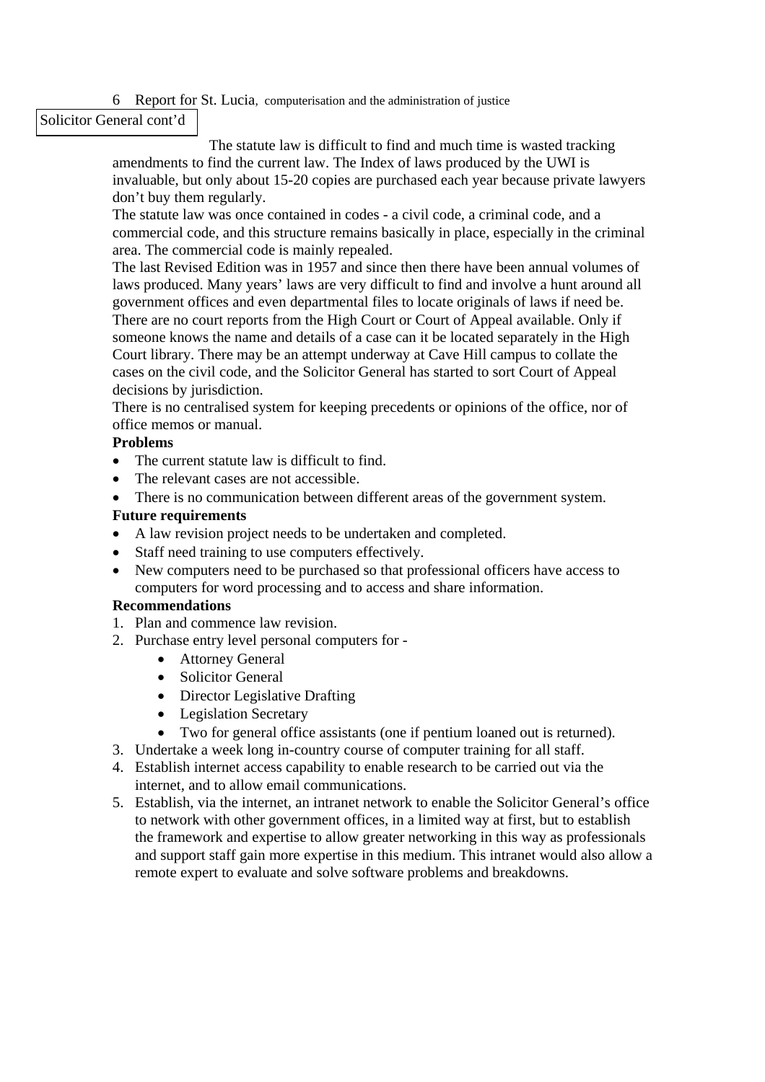Solicitor General cont'd

The statute law is difficult to find and much time is wasted tracking amendments to find the current law. The Index of laws produced by the UWI is invaluable, but only about 15-20 copies are purchased each year because private lawyers don't buy them regularly.

The statute law was once contained in codes - a civil code, a criminal code, and a commercial code, and this structure remains basically in place, especially in the criminal area. The commercial code is mainly repealed.

The last Revised Edition was in 1957 and since then there have been annual volumes of laws produced. Many years' laws are very difficult to find and involve a hunt around all government offices and even departmental files to locate originals of laws if need be. There are no court reports from the High Court or Court of Appeal available. Only if someone knows the name and details of a case can it be located separately in the High Court library. There may be an attempt underway at Cave Hill campus to collate the cases on the civil code, and the Solicitor General has started to sort Court of Appeal decisions by jurisdiction.

There is no centralised system for keeping precedents or opinions of the office, nor of office memos or manual.

### **Problems**

- The current statute law is difficult to find.
- The relevant cases are not accessible.
- There is no communication between different areas of the government system.

### **Future requirements**

- A law revision project needs to be undertaken and completed.
- Staff need training to use computers effectively.
- New computers need to be purchased so that professional officers have access to computers for word processing and to access and share information.

### **Recommendations**

- 1. Plan and commence law revision.
- 2. Purchase entry level personal computers for
	- Attorney General
	- Solicitor General
	- Director Legislative Drafting
	- Legislation Secretary
	- Two for general office assistants (one if pentium loaned out is returned).
- 3. Undertake a week long in-country course of computer training for all staff.
- 4. Establish internet access capability to enable research to be carried out via the internet, and to allow email communications.
- 5. Establish, via the internet, an intranet network to enable the Solicitor General's office to network with other government offices, in a limited way at first, but to establish the framework and expertise to allow greater networking in this way as professionals and support staff gain more expertise in this medium. This intranet would also allow a remote expert to evaluate and solve software problems and breakdowns.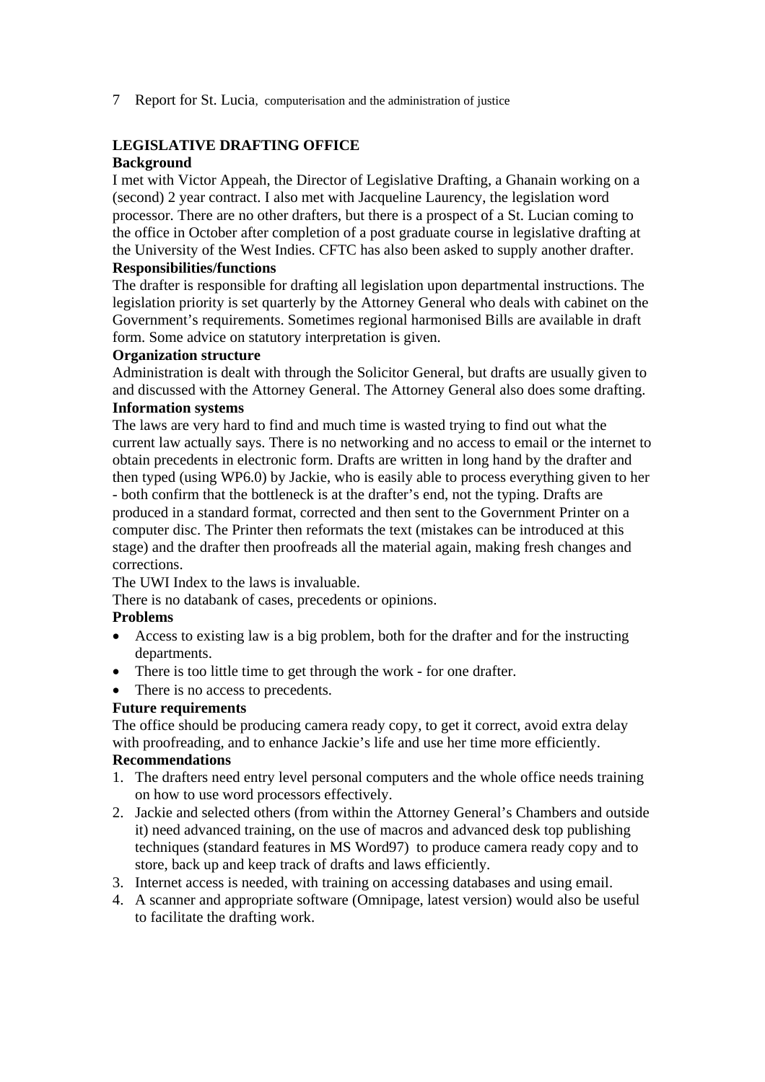## **LEGISLATIVE DRAFTING OFFICE**

### **Background**

I met with Victor Appeah, the Director of Legislative Drafting, a Ghanain working on a (second) 2 year contract. I also met with Jacqueline Laurency, the legislation word processor. There are no other drafters, but there is a prospect of a St. Lucian coming to the office in October after completion of a post graduate course in legislative drafting at the University of the West Indies. CFTC has also been asked to supply another drafter. **Responsibilities/functions** 

The drafter is responsible for drafting all legislation upon departmental instructions. The legislation priority is set quarterly by the Attorney General who deals with cabinet on the Government's requirements. Sometimes regional harmonised Bills are available in draft form. Some advice on statutory interpretation is given.

### **Organization structure**

Administration is dealt with through the Solicitor General, but drafts are usually given to and discussed with the Attorney General. The Attorney General also does some drafting. **Information systems** 

### The laws are very hard to find and much time is wasted trying to find out what the current law actually says. There is no networking and no access to email or the internet to obtain precedents in electronic form. Drafts are written in long hand by the drafter and then typed (using WP6.0) by Jackie, who is easily able to process everything given to her - both confirm that the bottleneck is at the drafter's end, not the typing. Drafts are produced in a standard format, corrected and then sent to the Government Printer on a computer disc. The Printer then reformats the text (mistakes can be introduced at this stage) and the drafter then proofreads all the material again, making fresh changes and corrections.

The UWI Index to the laws is invaluable.

There is no databank of cases, precedents or opinions.

### **Problems**

- Access to existing law is a big problem, both for the drafter and for the instructing departments.
- There is too little time to get through the work for one drafter.
- There is no access to precedents.

### **Future requirements**

The office should be producing camera ready copy, to get it correct, avoid extra delay with proofreading, and to enhance Jackie's life and use her time more efficiently. **Recommendations** 

- 1. The drafters need entry level personal computers and the whole office needs training on how to use word processors effectively.
- 2. Jackie and selected others (from within the Attorney General's Chambers and outside it) need advanced training, on the use of macros and advanced desk top publishing techniques (standard features in MS Word97) to produce camera ready copy and to store, back up and keep track of drafts and laws efficiently.
- 3. Internet access is needed, with training on accessing databases and using email.
- 4. A scanner and appropriate software (Omnipage, latest version) would also be useful to facilitate the drafting work.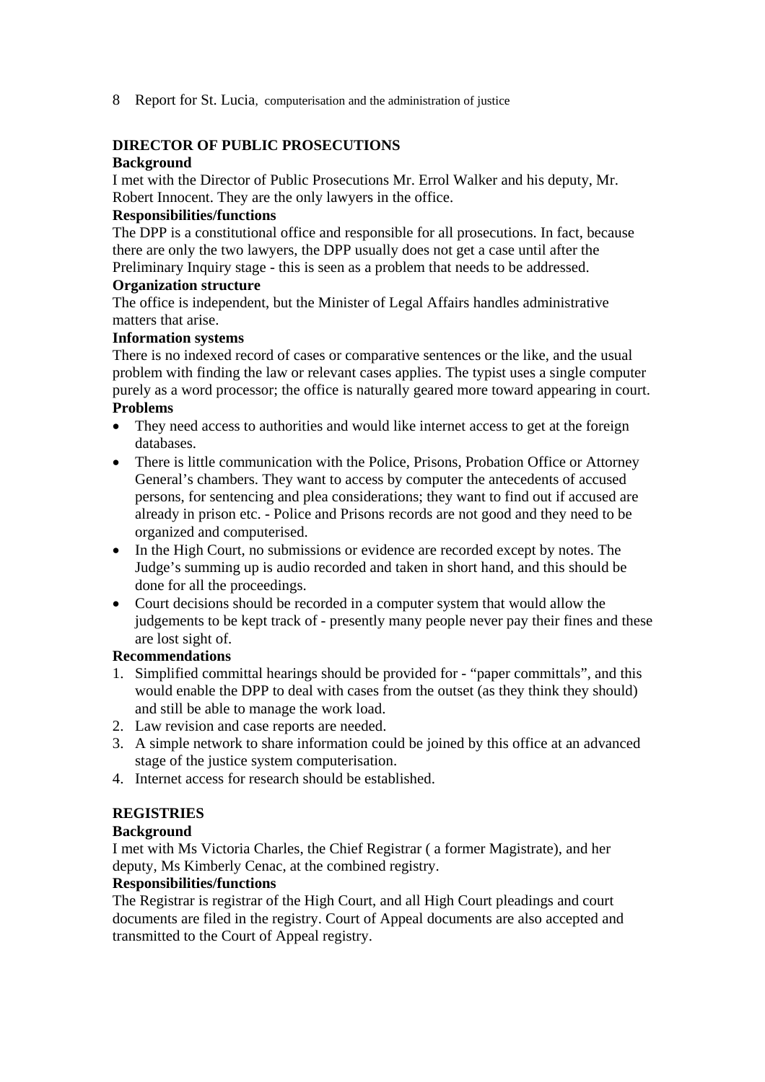### **DIRECTOR OF PUBLIC PROSECUTIONS**

### **Background**

I met with the Director of Public Prosecutions Mr. Errol Walker and his deputy, Mr. Robert Innocent. They are the only lawyers in the office.

### **Responsibilities/functions**

The DPP is a constitutional office and responsible for all prosecutions. In fact, because there are only the two lawyers, the DPP usually does not get a case until after the Preliminary Inquiry stage - this is seen as a problem that needs to be addressed.

### **Organization structure**

The office is independent, but the Minister of Legal Affairs handles administrative matters that arise.

### **Information systems**

There is no indexed record of cases or comparative sentences or the like, and the usual problem with finding the law or relevant cases applies. The typist uses a single computer purely as a word processor; the office is naturally geared more toward appearing in court. **Problems** 

- They need access to authorities and would like internet access to get at the foreign databases.
- There is little communication with the Police, Prisons, Probation Office or Attorney General's chambers. They want to access by computer the antecedents of accused persons, for sentencing and plea considerations; they want to find out if accused are already in prison etc. - Police and Prisons records are not good and they need to be organized and computerised.
- In the High Court, no submissions or evidence are recorded except by notes. The Judge's summing up is audio recorded and taken in short hand, and this should be done for all the proceedings.
- Court decisions should be recorded in a computer system that would allow the judgements to be kept track of - presently many people never pay their fines and these are lost sight of.

### **Recommendations**

- 1. Simplified committal hearings should be provided for "paper committals", and this would enable the DPP to deal with cases from the outset (as they think they should) and still be able to manage the work load.
- 2. Law revision and case reports are needed.
- 3. A simple network to share information could be joined by this office at an advanced stage of the justice system computerisation.
- 4. Internet access for research should be established.

## **REGISTRIES**

### **Background**

I met with Ms Victoria Charles, the Chief Registrar ( a former Magistrate), and her deputy, Ms Kimberly Cenac, at the combined registry.

#### **Responsibilities/functions**

The Registrar is registrar of the High Court, and all High Court pleadings and court documents are filed in the registry. Court of Appeal documents are also accepted and transmitted to the Court of Appeal registry.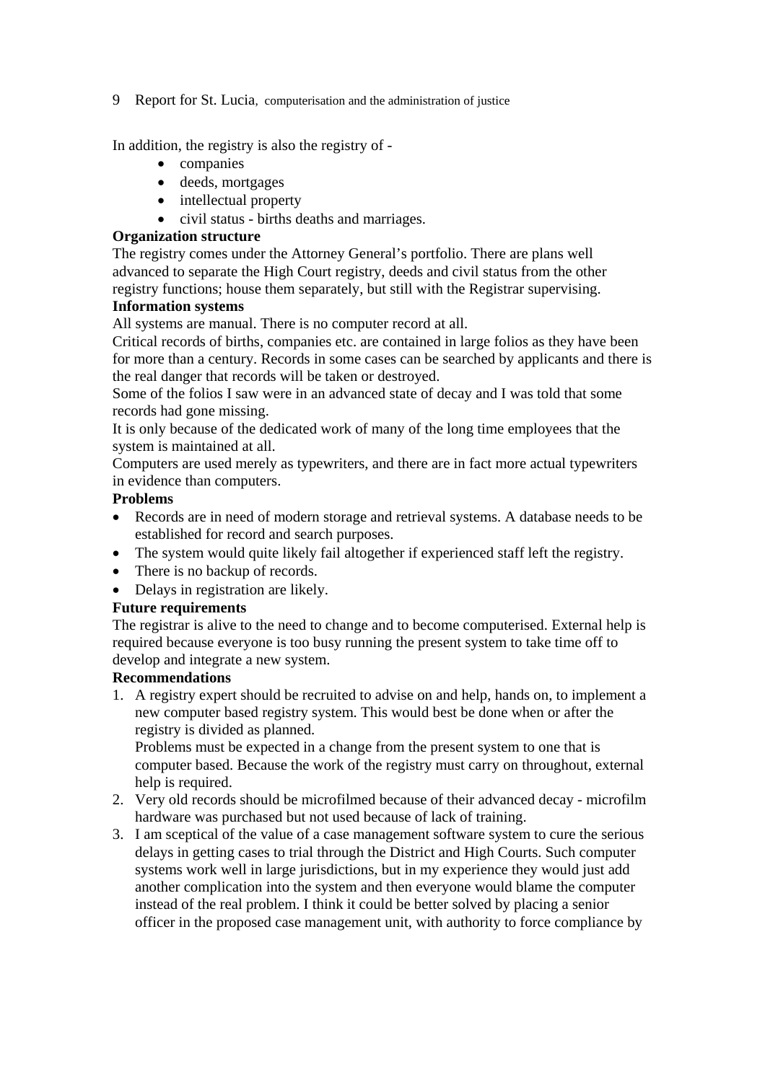In addition, the registry is also the registry of -

- companies
- deeds, mortgages
- intellectual property
- civil status births deaths and marriages.

#### **Organization structure**

The registry comes under the Attorney General's portfolio. There are plans well advanced to separate the High Court registry, deeds and civil status from the other registry functions; house them separately, but still with the Registrar supervising.

### **Information systems**

All systems are manual. There is no computer record at all.

Critical records of births, companies etc. are contained in large folios as they have been for more than a century. Records in some cases can be searched by applicants and there is the real danger that records will be taken or destroyed.

Some of the folios I saw were in an advanced state of decay and I was told that some records had gone missing.

It is only because of the dedicated work of many of the long time employees that the system is maintained at all.

Computers are used merely as typewriters, and there are in fact more actual typewriters in evidence than computers.

## **Problems**

- Records are in need of modern storage and retrieval systems. A database needs to be established for record and search purposes.
- The system would quite likely fail altogether if experienced staff left the registry.
- There is no backup of records.
- Delays in registration are likely.

### **Future requirements**

The registrar is alive to the need to change and to become computerised. External help is required because everyone is too busy running the present system to take time off to develop and integrate a new system.

### **Recommendations**

1. A registry expert should be recruited to advise on and help, hands on, to implement a new computer based registry system. This would best be done when or after the registry is divided as planned.

Problems must be expected in a change from the present system to one that is computer based. Because the work of the registry must carry on throughout, external help is required.

- 2. Very old records should be microfilmed because of their advanced decay microfilm hardware was purchased but not used because of lack of training.
- 3. I am sceptical of the value of a case management software system to cure the serious delays in getting cases to trial through the District and High Courts. Such computer systems work well in large jurisdictions, but in my experience they would just add another complication into the system and then everyone would blame the computer instead of the real problem. I think it could be better solved by placing a senior officer in the proposed case management unit, with authority to force compliance by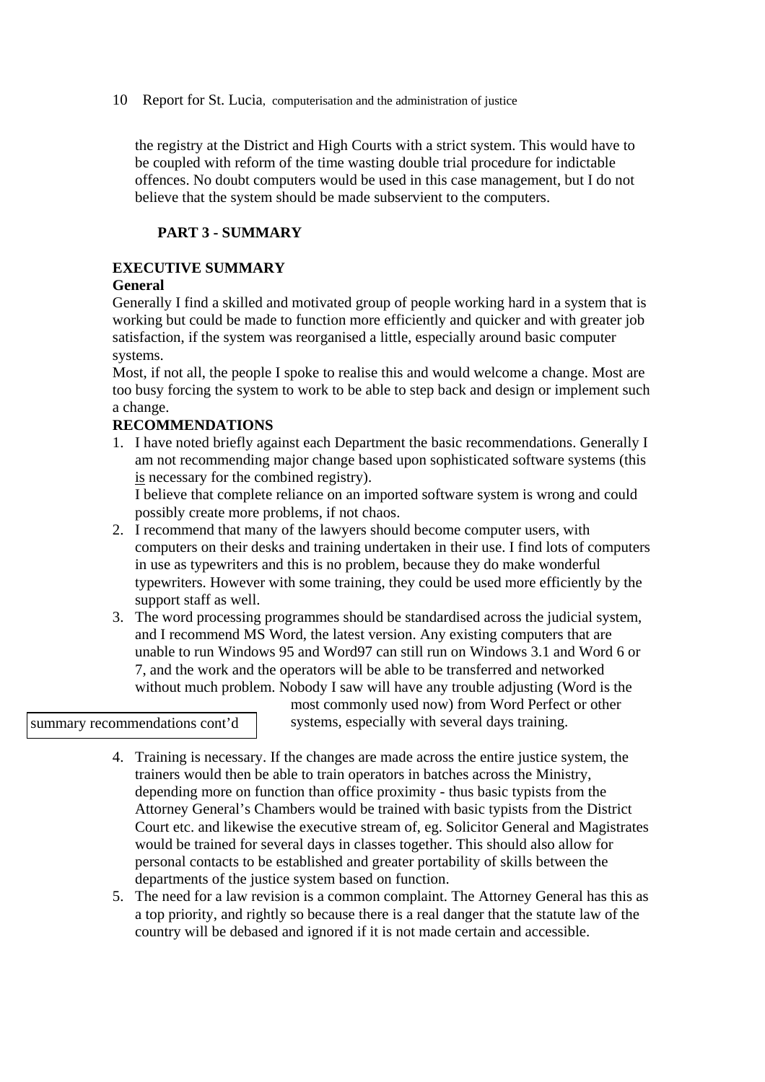the registry at the District and High Courts with a strict system. This would have to be coupled with reform of the time wasting double trial procedure for indictable offences. No doubt computers would be used in this case management, but I do not believe that the system should be made subservient to the computers.

### **PART 3 - SUMMARY**

## **EXECUTIVE SUMMARY**

### **General**

Generally I find a skilled and motivated group of people working hard in a system that is working but could be made to function more efficiently and quicker and with greater job satisfaction, if the system was reorganised a little, especially around basic computer systems.

Most, if not all, the people I spoke to realise this and would welcome a change. Most are too busy forcing the system to work to be able to step back and design or implement such a change.

### **RECOMMENDATIONS**

1. I have noted briefly against each Department the basic recommendations. Generally I am not recommending major change based upon sophisticated software systems (this is necessary for the combined registry).

I believe that complete reliance on an imported software system is wrong and could possibly create more problems, if not chaos.

- 2. I recommend that many of the lawyers should become computer users, with computers on their desks and training undertaken in their use. I find lots of computers in use as typewriters and this is no problem, because they do make wonderful typewriters. However with some training, they could be used more efficiently by the support staff as well.
- 3. The word processing programmes should be standardised across the judicial system, and I recommend MS Word, the latest version. Any existing computers that are unable to run Windows 95 and Word97 can still run on Windows 3.1 and Word 6 or 7, and the work and the operators will be able to be transferred and networked without much problem. Nobody I saw will have any trouble adjusting (Word is the

summary recommendations cont'd

most commonly used now) from Word Perfect or other systems, especially with several days training.

- 4. Training is necessary. If the changes are made across the entire justice system, the trainers would then be able to train operators in batches across the Ministry, depending more on function than office proximity - thus basic typists from the Attorney General's Chambers would be trained with basic typists from the District Court etc. and likewise the executive stream of, eg. Solicitor General and Magistrates would be trained for several days in classes together. This should also allow for personal contacts to be established and greater portability of skills between the departments of the justice system based on function.
- 5. The need for a law revision is a common complaint. The Attorney General has this as a top priority, and rightly so because there is a real danger that the statute law of the country will be debased and ignored if it is not made certain and accessible.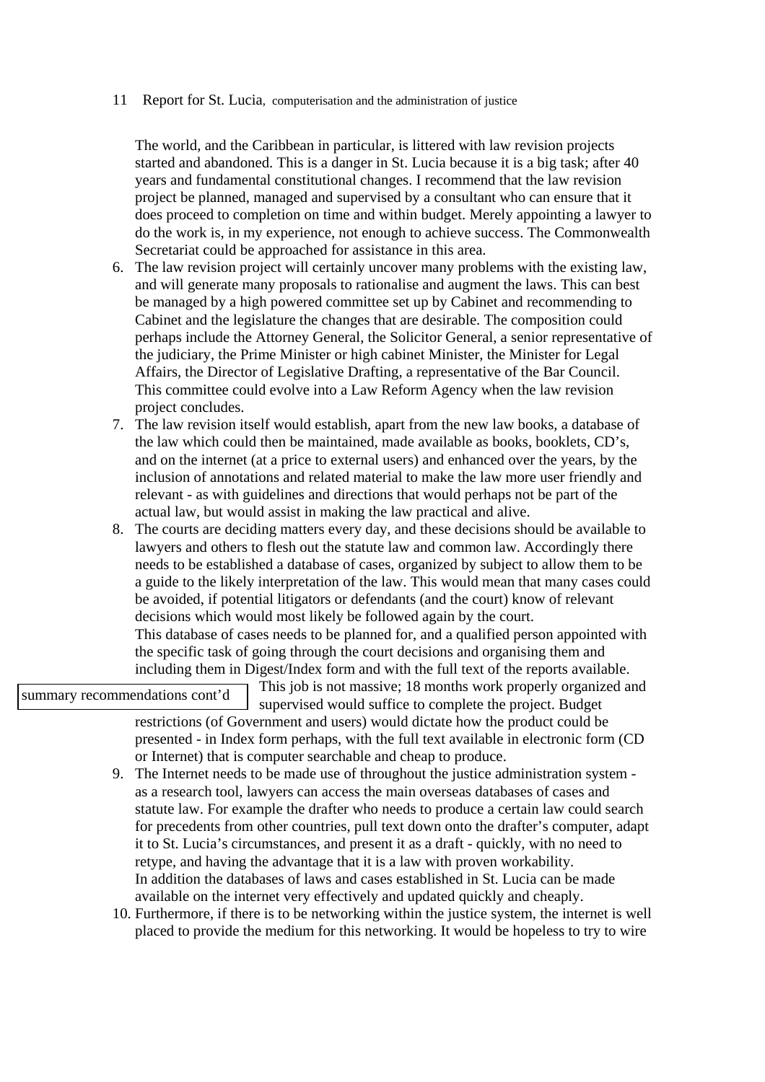The world, and the Caribbean in particular, is littered with law revision projects started and abandoned. This is a danger in St. Lucia because it is a big task; after 40 years and fundamental constitutional changes. I recommend that the law revision project be planned, managed and supervised by a consultant who can ensure that it does proceed to completion on time and within budget. Merely appointing a lawyer to do the work is, in my experience, not enough to achieve success. The Commonwealth Secretariat could be approached for assistance in this area.

- 6. The law revision project will certainly uncover many problems with the existing law, and will generate many proposals to rationalise and augment the laws. This can best be managed by a high powered committee set up by Cabinet and recommending to Cabinet and the legislature the changes that are desirable. The composition could perhaps include the Attorney General, the Solicitor General, a senior representative of the judiciary, the Prime Minister or high cabinet Minister, the Minister for Legal Affairs, the Director of Legislative Drafting, a representative of the Bar Council. This committee could evolve into a Law Reform Agency when the law revision project concludes.
- 7. The law revision itself would establish, apart from the new law books, a database of the law which could then be maintained, made available as books, booklets, CD's, and on the internet (at a price to external users) and enhanced over the years, by the inclusion of annotations and related material to make the law more user friendly and relevant - as with guidelines and directions that would perhaps not be part of the actual law, but would assist in making the law practical and alive.
- 8. The courts are deciding matters every day, and these decisions should be available to lawyers and others to flesh out the statute law and common law. Accordingly there needs to be established a database of cases, organized by subject to allow them to be a guide to the likely interpretation of the law. This would mean that many cases could be avoided, if potential litigators or defendants (and the court) know of relevant decisions which would most likely be followed again by the court. This database of cases needs to be planned for, and a qualified person appointed with the specific task of going through the court decisions and organising them and including them in Digest/Index form and with the full text of the reports available.

summary recommendations cont'd

This job is not massive; 18 months work properly organized and

supervised would suffice to complete the project. Budget restrictions (of Government and users) would dictate how the product could be presented - in Index form perhaps, with the full text available in electronic form (CD or Internet) that is computer searchable and cheap to produce.

- 9. The Internet needs to be made use of throughout the justice administration system as a research tool, lawyers can access the main overseas databases of cases and statute law. For example the drafter who needs to produce a certain law could search for precedents from other countries, pull text down onto the drafter's computer, adapt it to St. Lucia's circumstances, and present it as a draft - quickly, with no need to retype, and having the advantage that it is a law with proven workability. In addition the databases of laws and cases established in St. Lucia can be made available on the internet very effectively and updated quickly and cheaply.
- 10. Furthermore, if there is to be networking within the justice system, the internet is well placed to provide the medium for this networking. It would be hopeless to try to wire